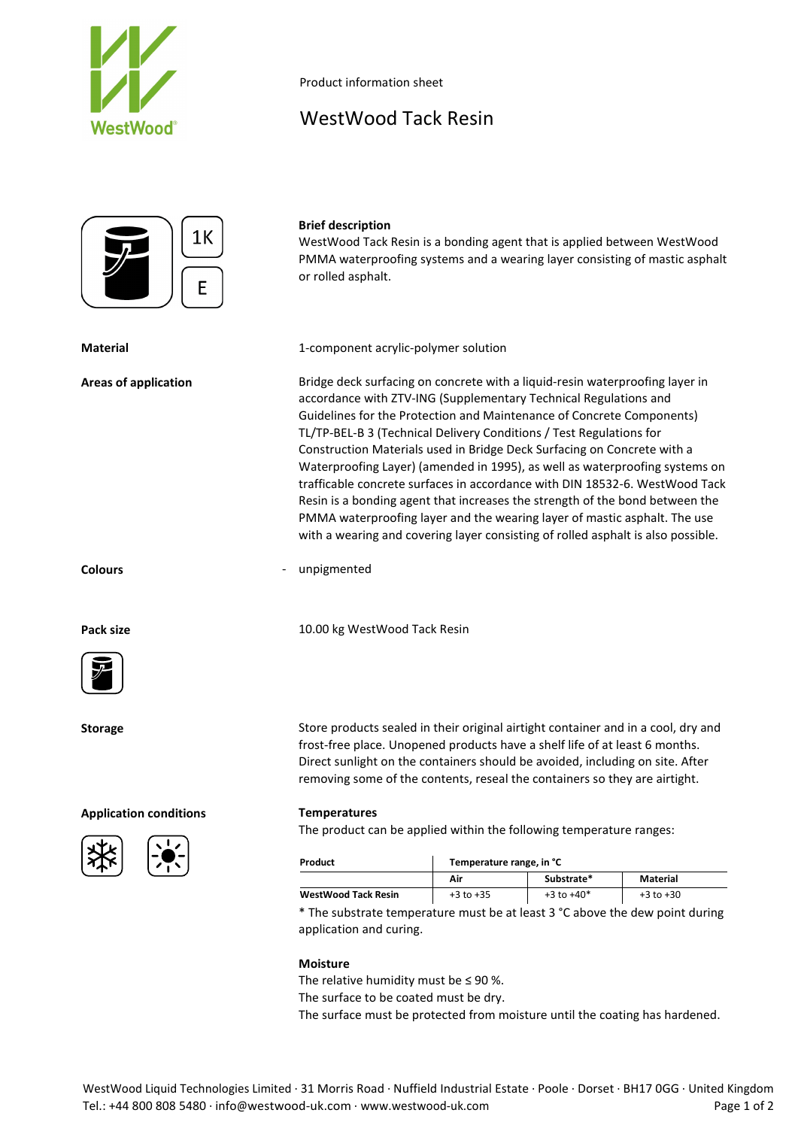

Product information sheet

# WestWood Tack Resin



## **Brief description**

WestWood Tack Resin is a bonding agent that is applied between WestWood PMMA waterproofing systems and a wearing layer consisting of mastic asphalt or rolled asphalt.

**Material** 1-component acrylic-polymer solution

**Areas of application** Bridge deck surfacing on concrete with a liquid-resin waterproofing layer in accordance with ZTV-ING (Supplementary Technical Regulations and Guidelines for the Protection and Maintenance of Concrete Components) TL/TP-BEL-B 3 (Technical Delivery Conditions / Test Regulations for Construction Materials used in Bridge Deck Surfacing on Concrete with a Waterproofing Layer) (amended in 1995), as well as waterproofing systems on trafficable concrete surfaces in accordance with DIN 18532-6. WestWood Tack Resin is a bonding agent that increases the strength of the bond between the PMMA waterproofing layer and the wearing layer of mastic asphalt. The use with a wearing and covering layer consisting of rolled asphalt is also possible.

**Colours** - unpigmented

Pack size **Pack size** 10.00 kg WestWood Tack Resin



## **Application conditions Temperatures**





**Storage** Store products sealed in their original airtight container and in a cool, dry and frost-free place. Unopened products have a shelf life of at least 6 months. Direct sunlight on the containers should be avoided, including on site. After removing some of the contents, reseal the containers so they are airtight.

The product can be applied within the following temperature ranges:

| Product                    | Temperature range, in °C |                |               |
|----------------------------|--------------------------|----------------|---------------|
|                            | Air                      | Substrate*     | Material      |
| <b>WestWood Tack Resin</b> | $+3$ to $+35$            | $+3$ to $+40*$ | $+3$ to $+30$ |

\* The substrate temperature must be at least 3 °C above the dew point during application and curing.

### **Moisture**

The relative humidity must be  $\leq$  90 %.

The surface to be coated must be dry.

The surface must be protected from moisture until the coating has hardened.